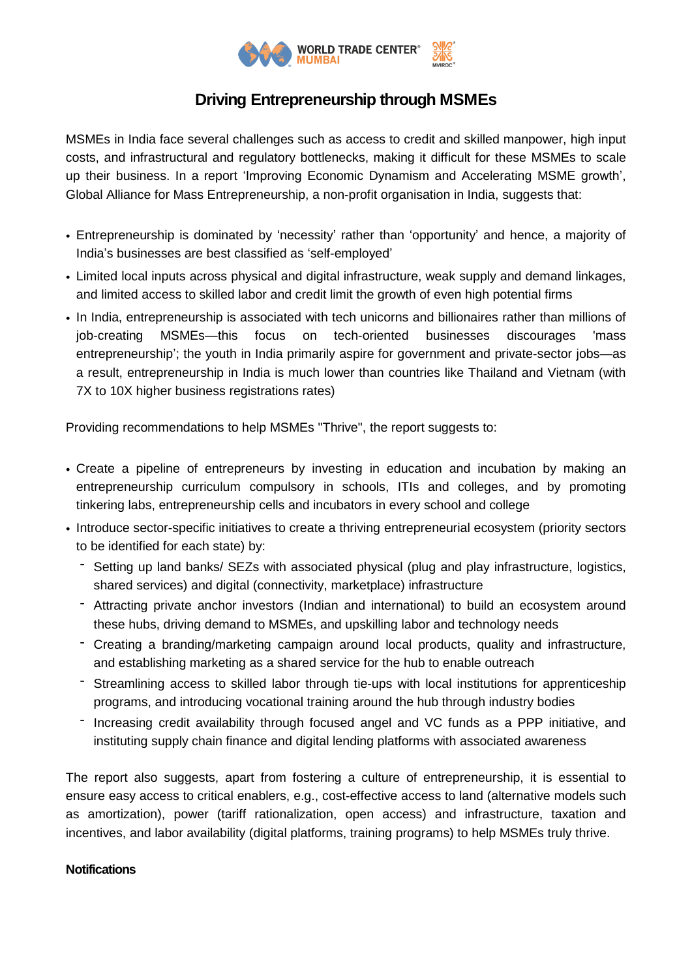

## **Driving Entrepreneurship through MSMEs**

MSMEs in India face several challenges such as access to credit and skilled manpower, high input costs, and infrastructural and regulatory bottlenecks, making it difficult for these MSMEs to scale up their business. In a report 'Improving Economic Dynamism and Accelerating MSME growth', Global Alliance for Mass Entrepreneurship, a non-profit organisation in India, suggests that:

- Entrepreneurship is dominated by 'necessity' rather than 'opportunity' and hence, a majority of India's businesses are best classified as 'self-employed'
- Limited local inputs across physical and digital infrastructure, weak supply and demand linkages, and limited access to skilled labor and credit limit the growth of even high potential firms
- In India, entrepreneurship is associated with tech unicorns and billionaires rather than millions of job-creating MSMEs—this focus on tech-oriented businesses discourages 'mass entrepreneurship'; the youth in India primarily aspire for government and private-sector jobs—as a result, entrepreneurship in India is much lower than countries like Thailand and Vietnam (with 7X to 10X higher business registrations rates)

Providing recommendations to help MSMEs "Thrive", the report suggests to:

- Create a pipeline of entrepreneurs by investing in education and incubation by making an entrepreneurship curriculum compulsory in schools, ITIs and colleges, and by promoting tinkering labs, entrepreneurship cells and incubators in every school and college
- Introduce sector-specific initiatives to create a thriving entrepreneurial ecosystem (priority sectors to be identified for each state) by:
	- Setting up land banks/ SEZs with associated physical (plug and play infrastructure, logistics, shared services) and digital (connectivity, marketplace) infrastructure
	- Attracting private anchor investors (Indian and international) to build an ecosystem around these hubs, driving demand to MSMEs, and upskilling labor and technology needs
	- Creating a branding/marketing campaign around local products, quality and infrastructure, and establishing marketing as a shared service for the hub to enable outreach
	- Streamlining access to skilled labor through tie-ups with local institutions for apprenticeship programs, and introducing vocational training around the hub through industry bodies
	- Increasing credit availability through focused angel and VC funds as a PPP initiative, and instituting supply chain finance and digital lending platforms with associated awareness

The report also suggests, apart from fostering a culture of entrepreneurship, it is essential to ensure easy access to critical enablers, e.g., cost-effective access to land (alternative models such as amortization), power (tariff rationalization, open access) and infrastructure, taxation and incentives, and labor availability (digital platforms, training programs) to help MSMEs truly thrive.

## **Notifications**